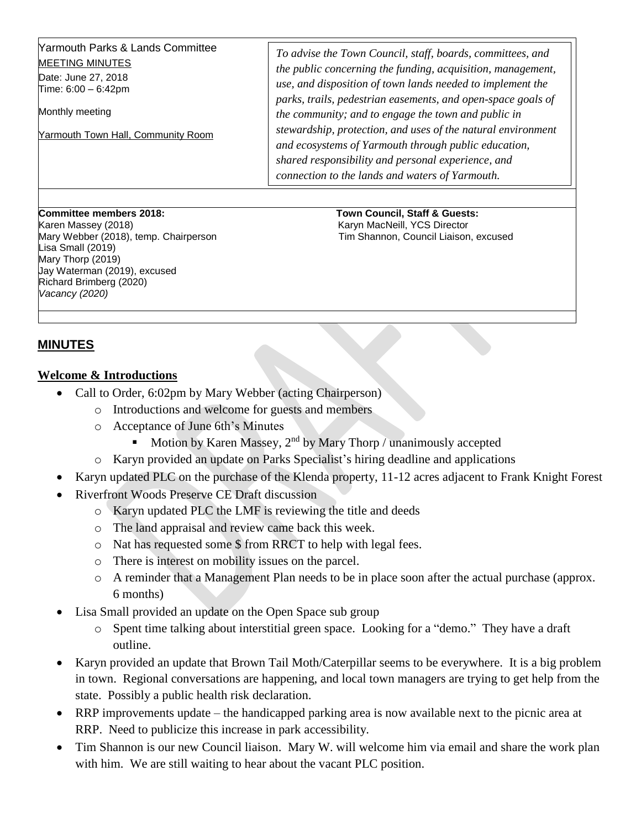| Yarmouth Parks & Lands Committee<br><b>MEETING MINUTES</b><br>Date: June 27, 2018<br>Time: $6:00 - 6:42$ pm<br>Monthly meeting<br>Yarmouth Town Hall, Community Room | To advise the Town Council, staff, boards, committees, and<br>the public concerning the funding, acquisition, management,<br>use, and disposition of town lands needed to implement the<br>parks, trails, pedestrian easements, and open-space goals of<br>the community; and to engage the town and public in<br>stewardship, protection, and uses of the natural environment<br>and ecosystems of Yarmouth through public education,<br>shared responsibility and personal experience, and<br>connection to the lands and waters of Yarmouth. |
|----------------------------------------------------------------------------------------------------------------------------------------------------------------------|-------------------------------------------------------------------------------------------------------------------------------------------------------------------------------------------------------------------------------------------------------------------------------------------------------------------------------------------------------------------------------------------------------------------------------------------------------------------------------------------------------------------------------------------------|
|----------------------------------------------------------------------------------------------------------------------------------------------------------------------|-------------------------------------------------------------------------------------------------------------------------------------------------------------------------------------------------------------------------------------------------------------------------------------------------------------------------------------------------------------------------------------------------------------------------------------------------------------------------------------------------------------------------------------------------|

Karen Massey (2018) Karyn MacNeill, YCS Director Lisa Small (2019) Mary Thorp (2019) Jay Waterman (2019), excused Richard Brimberg (2020) *Vacancy (2020)* 

**Committee members 2018: Town Council, Staff & Guests:**  Mary Webber (2018), temp. Chairperson The Shannon, Council Liaison, excused

## **MINUTES**

## **Welcome & Introductions**

- Call to Order, 6:02pm by Mary Webber (acting Chairperson)
	- o Introductions and welcome for guests and members
	- o Acceptance of June 6th's Minutes
		- Motion by Karen Massey,  $2<sup>nd</sup>$  by Mary Thorp / unanimously accepted
	- o Karyn provided an update on Parks Specialist's hiring deadline and applications
- Karyn updated PLC on the purchase of the Klenda property, 11-12 acres adjacent to Frank Knight Forest
- Riverfront Woods Preserve CE Draft discussion
	- o Karyn updated PLC the LMF is reviewing the title and deeds
	- o The land appraisal and review came back this week.
	- o Nat has requested some \$ from RRCT to help with legal fees.
	- o There is interest on mobility issues on the parcel.
	- o A reminder that a Management Plan needs to be in place soon after the actual purchase (approx. 6 months)
- Lisa Small provided an update on the Open Space sub group
	- o Spent time talking about interstitial green space. Looking for a "demo." They have a draft outline.
- Karyn provided an update that Brown Tail Moth/Caterpillar seems to be everywhere. It is a big problem in town. Regional conversations are happening, and local town managers are trying to get help from the state. Possibly a public health risk declaration.
- RRP improvements update the handicapped parking area is now available next to the picnic area at RRP. Need to publicize this increase in park accessibility.
- Tim Shannon is our new Council liaison. Mary W. will welcome him via email and share the work plan with him. We are still waiting to hear about the vacant PLC position.